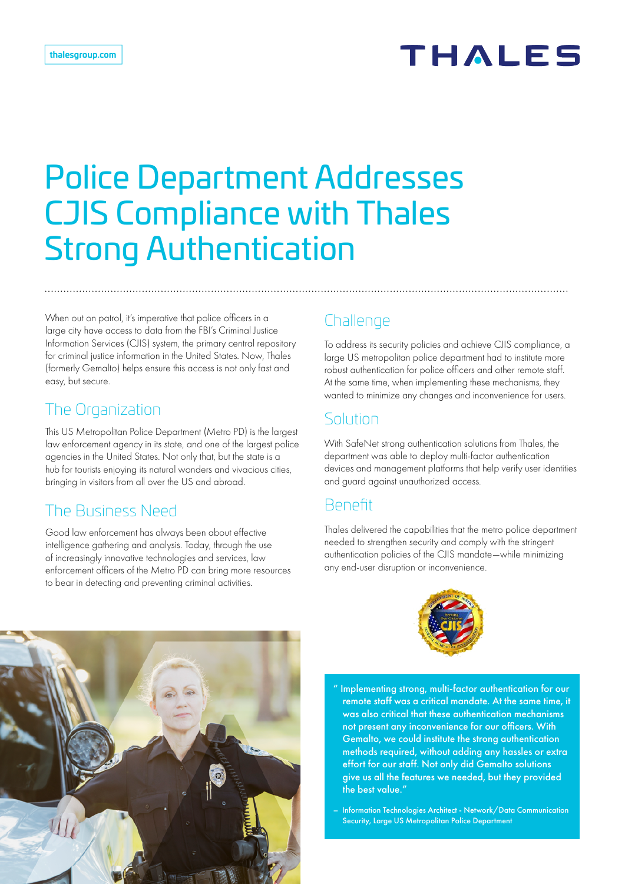# Police Department Addresses CJIS Compliance with Thales Strong Authentication

When out on patrol, it's imperative that police officers in a large city have access to data from the FBI's Criminal Justice Information Services (CJIS) system, the primary central repository for criminal justice information in the United States. Now, Thales (formerly Gemalto) helps ensure this access is not only fast and easy, but secure.

#### The Organization

This US Metropolitan Police Department (Metro PD) is the largest law enforcement agency in its state, and one of the largest police agencies in the United States. Not only that, but the state is a hub for tourists enjoying its natural wonders and vivacious cities, bringing in visitors from all over the US and abroad.

## The Business Need

Good law enforcement has always been about effective intelligence gathering and analysis. Today, through the use of increasingly innovative technologies and services, law enforcement officers of the Metro PD can bring more resources to bear in detecting and preventing criminal activities.

#### **Challenge**

To address its security policies and achieve CJIS compliance, a large US metropolitan police department had to institute more robust authentication for police officers and other remote staff. At the same time, when implementing these mechanisms, they wanted to minimize any changes and inconvenience for users.

#### Solution

With SafeNet strong authentication solutions from Thales, the department was able to deploy multi-factor authentication devices and management platforms that help verify user identities and guard against unauthorized access.

#### Benefit

Thales delivered the capabilities that the metro police department needed to strengthen security and comply with the stringent authentication policies of the CJIS mandate—while minimizing any end-user disruption or inconvenience.





" Implementing strong, multi-factor authentication for our remote staff was a critical mandate. At the same time, it was also critical that these authentication mechanisms not present any inconvenience for our officers. With Gemalto, we could institute the strong authentication methods required, without adding any hassles or extra effort for our staff. Not only did Gemalto solutions give us all the features we needed, but they provided the best value."

– Information Technologies Architect - Network/Data Communication Security, Large US Metropolitan Police Department